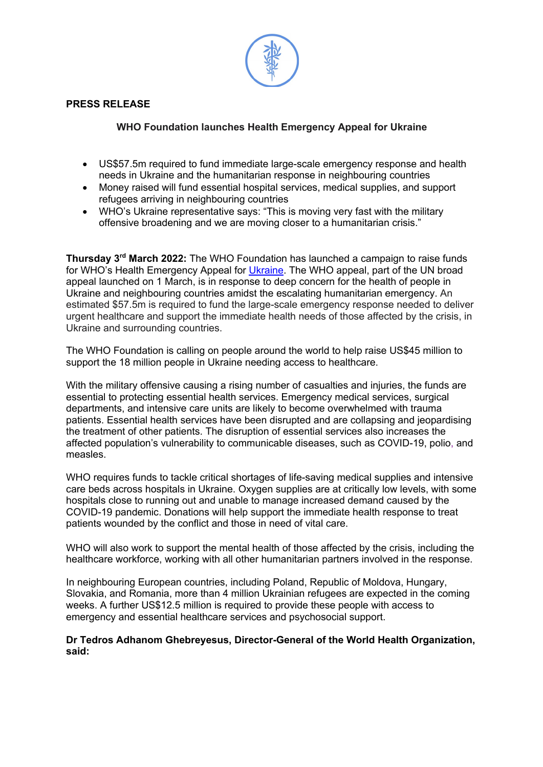

#### **PRESS RELEASE**

#### **WHO Foundation launches Health Emergency Appeal for Ukraine**

- US\$57.5m required to fund immediate large-scale emergency response and health needs in Ukraine and the humanitarian response in neighbouring countries
- Money raised will fund essential hospital services, medical supplies, and support refugees arriving in neighbouring countries
- WHO's Ukraine representative says: "This is moving very fast with the military offensive broadening and we are moving closer to a humanitarian crisis."

**Thursday 3rd March 2022:** The WHO Foundation has launched a campaign to raise funds for WHO's Health Emergency Appeal for Ukraine. The WHO appeal, part of the UN broad appeal launched on 1 March, is in response to deep concern for the health of people in Ukraine and neighbouring countries amidst the escalating humanitarian emergency. An estimated \$57.5m is required to fund the large-scale emergency response needed to deliver urgent healthcare and support the immediate health needs of those affected by the crisis, in Ukraine and surrounding countries.

The WHO Foundation is calling on people around the world to help raise US\$45 million to support the 18 million people in Ukraine needing access to healthcare.

With the military offensive causing a rising number of casualties and injuries, the funds are essential to protecting essential health services. Emergency medical services, surgical departments, and intensive care units are likely to become overwhelmed with trauma patients. Essential health services have been disrupted and are collapsing and jeopardising the treatment of other patients. The disruption of essential services also increases the affected population's vulnerability to communicable diseases, such as COVID-19, polio, and measles.

WHO requires funds to tackle critical shortages of life-saving medical supplies and intensive care beds across hospitals in Ukraine. Oxygen supplies are at critically low levels, with some hospitals close to running out and unable to manage increased demand caused by the COVID-19 pandemic. Donations will help support the immediate health response to treat patients wounded by the conflict and those in need of vital care.

WHO will also work to support the mental health of those affected by the crisis, including the healthcare workforce, working with all other humanitarian partners involved in the response.

In neighbouring European countries, including Poland, Republic of Moldova, Hungary, Slovakia, and Romania, more than 4 million Ukrainian refugees are expected in the coming weeks. A further US\$12.5 million is required to provide these people with access to emergency and essential healthcare services and psychosocial support.

#### **Dr Tedros Adhanom Ghebreyesus, Director-General of the World Health Organization, said:**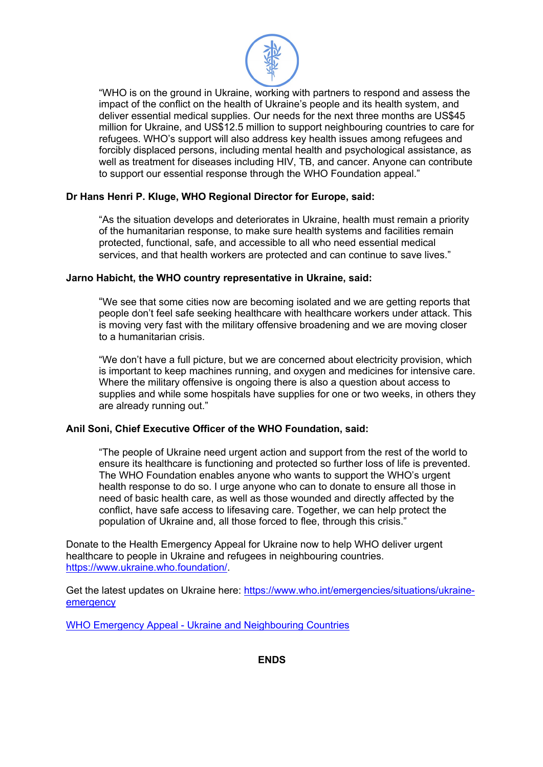

"WHO is on the ground in Ukraine, working with partners to respond and assess the impact of the conflict on the health of Ukraine's people and its health system, and deliver essential medical supplies. Our needs for the next three months are US\$45 million for Ukraine, and US\$12.5 million to support neighbouring countries to care for refugees. WHO's support will also address key health issues among refugees and forcibly displaced persons, including mental health and psychological assistance, as well as treatment for diseases including HIV, TB, and cancer. Anyone can contribute to support our essential response through the WHO Foundation appeal."

## **Dr Hans Henri P. Kluge, WHO Regional Director for Europe, said:**

"As the situation develops and deteriorates in Ukraine, health must remain a priority of the humanitarian response, to make sure health systems and facilities remain protected, functional, safe, and accessible to all who need essential medical services, and that health workers are protected and can continue to save lives."

## **Jarno Habicht, the WHO country representative in Ukraine, said:**

"We see that some cities now are becoming isolated and we are getting reports that people don't feel safe seeking healthcare with healthcare workers under attack. This is moving very fast with the military offensive broadening and we are moving closer to a humanitarian crisis.

"We don't have a full picture, but we are concerned about electricity provision, which is important to keep machines running, and oxygen and medicines for intensive care. Where the military offensive is ongoing there is also a question about access to supplies and while some hospitals have supplies for one or two weeks, in others they are already running out."

## **Anil Soni, Chief Executive Officer of the WHO Foundation, said:**

"The people of Ukraine need urgent action and support from the rest of the world to ensure its healthcare is functioning and protected so further loss of life is prevented. The WHO Foundation enables anyone who wants to support the WHO's urgent health response to do so. I urge anyone who can to donate to ensure all those in need of basic health care, as well as those wounded and directly affected by the conflict, have safe access to lifesaving care. Together, we can help protect the population of Ukraine and, all those forced to flee, through this crisis."

Donate to the Health Emergency Appeal for Ukraine now to help WHO deliver urgent healthcare to people in Ukraine and refugees in neighbouring countries. https://www.ukraine.who.foundation/.

Get the latest updates on Ukraine here: https://www.who.int/emergencies/situations/ukraineemergency

WHO Emergency Appeal - Ukraine and Neighbouring Countries